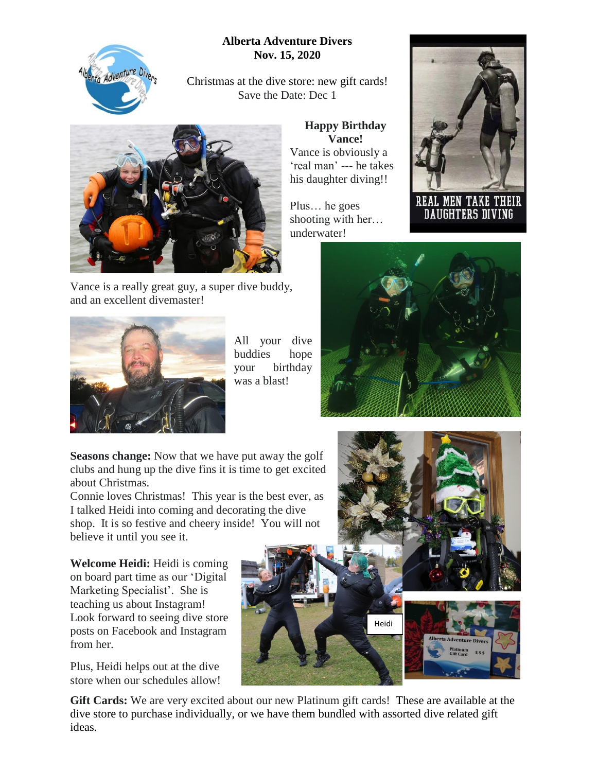## **Alberta Adventure Divers Nov. 15, 2020**



Christmas at the dive store: new gift cards! Save the Date: Dec 1

> **Happy Birthday Vance!** Vance is obviously a 'real man' --- he takes his daughter diving!!

Plus… he goes shooting with her…



Vance is a really great guy, a super dive buddy, and an excellent divemaster!



All your dive buddies hope your birthday was a blast!

**REAL MEN TAKE THEIR** DAUGHTERS DIVING



**Seasons change:** Now that we have put away the golf clubs and hung up the dive fins it is time to get excited about Christmas.

Connie loves Christmas! This year is the best ever, as I talked Heidi into coming and decorating the dive shop. It is so festive and cheery inside! You will not believe it until you see it.

**Welcome Heidi:** Heidi is coming on board part time as our 'Digital Marketing Specialist'. She is teaching us about Instagram! Look forward to seeing dive store posts on Facebook and Instagram from her.

Plus, Heidi helps out at the dive store when our schedules allow!





**Gift Cards:** We are very excited about our new Platinum gift cards! These are available at the dive store to purchase individually, or we have them bundled with assorted dive related gift ideas.